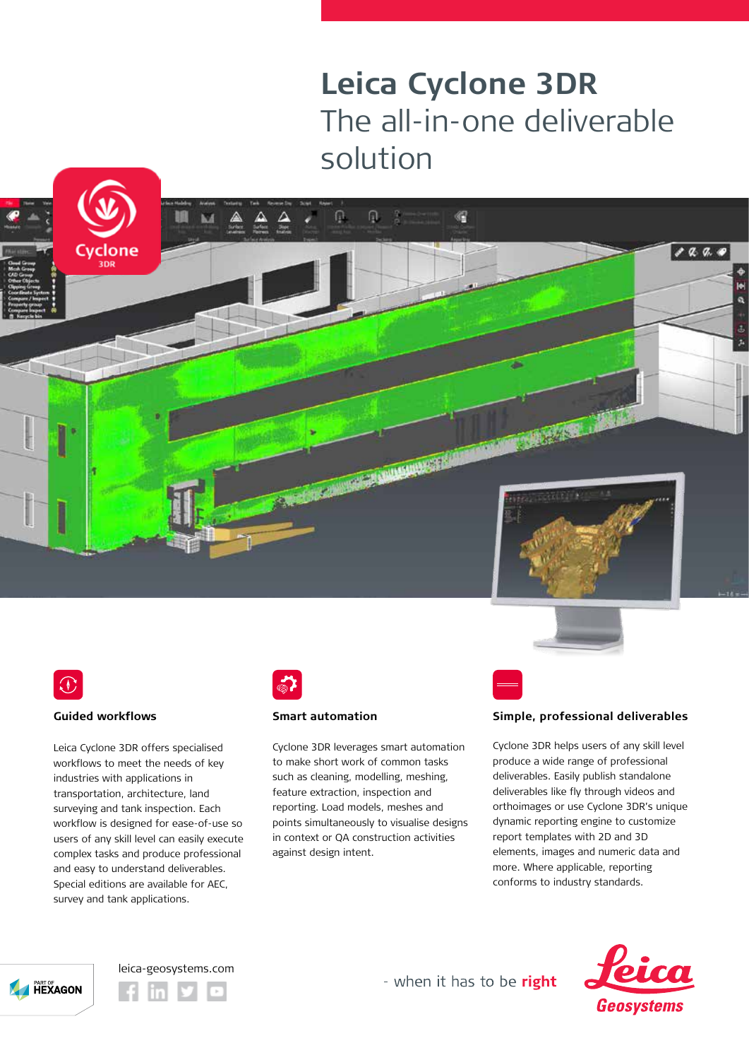## **Leica Cyclone 3DR** The all-in-one deliverable solution

帽





 $888.0$ 



## **Guided workflows**

Leica Cyclone 3DR offers specialised workflows to meet the needs of key industries with applications in transportation, architecture, land surveying and tank inspection. Each workflow is designed for ease-of-use so users of any skill level can easily execute complex tasks and produce professional and easy to understand deliverables. Special editions are available for AEC, survey and tank applications.



## **Smart automation**

Cyclone 3DR leverages smart automation to make short work of common tasks such as cleaning, modelling, meshing, feature extraction, inspection and reporting. Load models, meshes and points simultaneously to visualise designs in context or QA construction activities against design intent.

凤  $\frac{\alpha}{2}$ 

**THE REAL PROPERTY AND INCOME.** 

Ω



Cyclone 3DR helps users of any skill level produce a wide range of professional deliverables. Easily publish standalone deliverables like fly through videos and orthoimages or use Cyclone 3DR's unique dynamic reporting engine to customize report templates with 2D and 3D elements, images and numeric data and more. Where applicable, reporting conforms to industry standards.







- when it has to be right